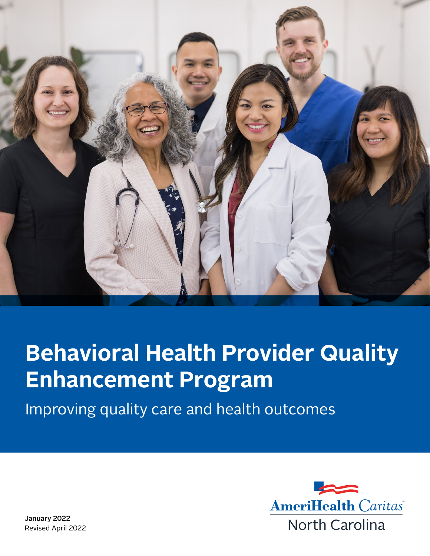

# **Behavioral Health Provider Quality Enhancement Program**

Improving quality care and health outcomes



January 2022 Revised April 2022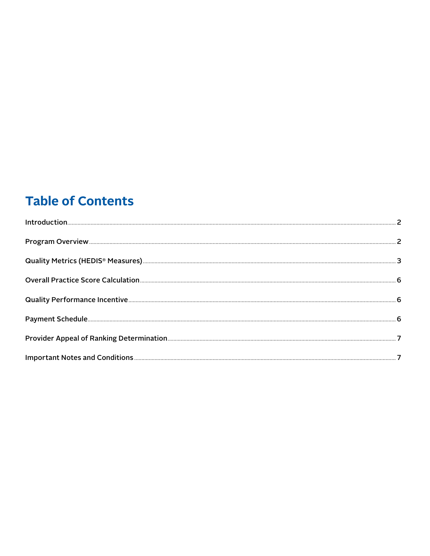# **Table of Contents**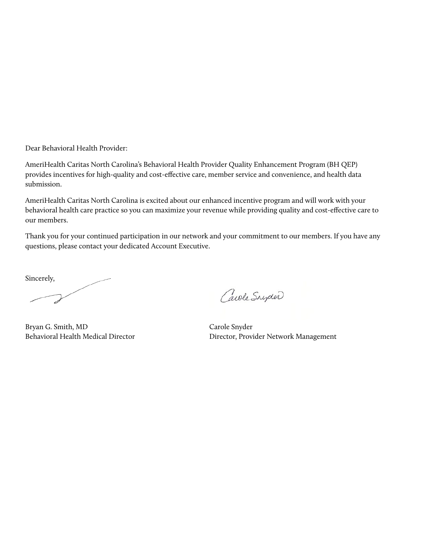Dear Behavioral Health Provider:

AmeriHealth Caritas North Carolina's Behavioral Health Provider Quality Enhancement Program (BH QEP) provides incentives for high-quality and cost-effective care, member service and convenience, and health data submission.

AmeriHealth Caritas North Carolina is excited about our enhanced incentive program and will work with your behavioral health care practice so you can maximize your revenue while providing quality and cost-effective care to our members.

Thank you for your continued participation in our network and your commitment to our members. If you have any questions, please contact your dedicated Account Executive.

Sincerely,

Bryan G. Smith, MD Behavioral Health Medical Director

Carole Snyder

Carole Snyder Director, Provider Network Management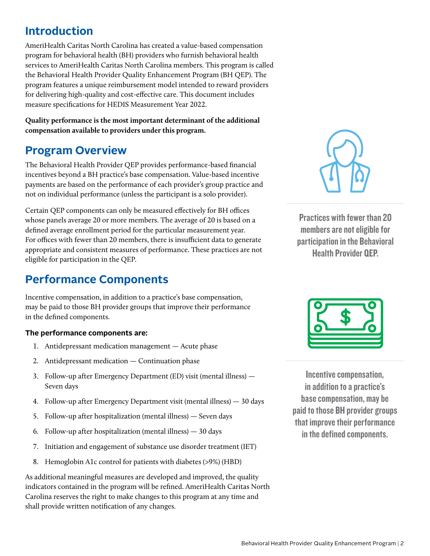# <span id="page-3-0"></span>**Introduction**

AmeriHealth Caritas North Carolina has created a value-based compensation program for behavioral health (BH) providers who furnish behavioral health services to AmeriHealth Caritas North Carolina members. This program is called the Behavioral Health Provider Quality Enhancement Program (BH QEP). The program features a unique reimbursement model intended to reward providers for delivering high-quality and cost-effective care. This document includes measure specifications for HEDIS Measurement Year 2022.

**Quality performance is the most important determinant of the additional compensation available to providers under this program.**

## **Program Overview**

The Behavioral Health Provider QEP provides performance-based financial incentives beyond a BH practice's base compensation. Value-based incentive payments are based on the performance of each provider's group practice and not on individual performance (unless the participant is a solo provider).

Certain QEP components can only be measured effectively for BH offices whose panels average 20 or more members. The average of 20 is based on a defined average enrollment period for the particular measurement year. For offices with fewer than 20 members, there is insufficient data to generate appropriate and consistent measures of performance. These practices are not eligible for participation in the QEP.

# **Performance Components**

Incentive compensation, in addition to a practice's base compensation, may be paid to those BH provider groups that improve their performance in the defined components.

#### **The performance components are:**

- 1. Antidepressant medication management Acute phase
- 2. Antidepressant medication Continuation phase
- 3. Follow-up after Emergency Department (ED) visit (mental illness) Seven days
- 4. Follow-up after Emergency Department visit (mental illness) 30 days
- 5. Follow-up after hospitalization (mental illness) Seven days
- 6. Follow-up after hospitalization (mental illness) 30 days
- 7. Initiation and engagement of substance use disorder treatment (IET)
- 8. Hemoglobin A1c control for patients with diabetes (>9%) (HBD)

As additional meaningful measures are developed and improved, the quality indicators contained in the program will be refined. AmeriHealth Caritas North Carolina reserves the right to make changes to this program at any time and shall provide written notification of any changes.



Practices with fewer than 20 members are not eligible for participation in the Behavioral Health Provider QEP.



Incentive compensation, in addition to a practice's base compensation, may be paid to those BH provider groups that improve their performance in the defined components.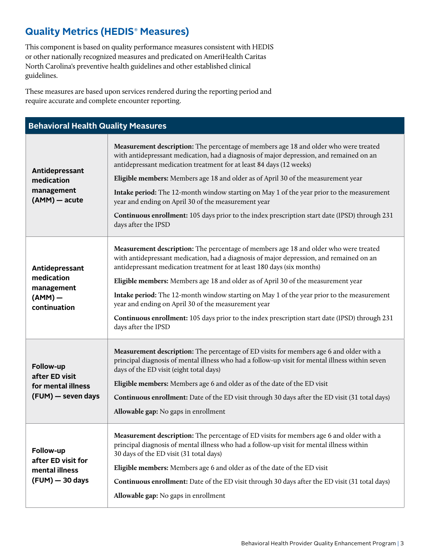## <span id="page-4-0"></span>**Quality Metrics (HEDIS**®  **Measures)**

This component is based on quality performance measures consistent with HEDIS or other nationally recognized measures and predicated on AmeriHealth Caritas North Carolina's preventive health guidelines and other established clinical guidelines.

These measures are based upon services rendered during the reporting period and require accurate and complete encounter reporting.

| <b>Behavioral Health Quality Measures</b>                               |                                                                                                                                                                                                                                                                                                                                             |  |  |  |  |  |
|-------------------------------------------------------------------------|---------------------------------------------------------------------------------------------------------------------------------------------------------------------------------------------------------------------------------------------------------------------------------------------------------------------------------------------|--|--|--|--|--|
| Antidepressant<br>medication<br>management<br>(AMM) - acute             | Measurement description: The percentage of members age 18 and older who were treated<br>with antidepressant medication, had a diagnosis of major depression, and remained on an<br>antidepressant medication treatment for at least 84 days (12 weeks)<br>Eligible members: Members age 18 and older as of April 30 of the measurement year |  |  |  |  |  |
|                                                                         | Intake period: The 12-month window starting on May 1 of the year prior to the measurement<br>year and ending on April 30 of the measurement year                                                                                                                                                                                            |  |  |  |  |  |
|                                                                         | <b>Continuous enrollment:</b> 105 days prior to the index prescription start date (IPSD) through 231<br>days after the IPSD                                                                                                                                                                                                                 |  |  |  |  |  |
| Antidepressant<br>medication<br>management<br>$(AMM)$ –<br>continuation | Measurement description: The percentage of members age 18 and older who were treated<br>with antidepressant medication, had a diagnosis of major depression, and remained on an<br>antidepressant medication treatment for at least 180 days (six months)                                                                                   |  |  |  |  |  |
|                                                                         | Eligible members: Members age 18 and older as of April 30 of the measurement year                                                                                                                                                                                                                                                           |  |  |  |  |  |
|                                                                         | Intake period: The 12-month window starting on May 1 of the year prior to the measurement<br>year and ending on April 30 of the measurement year                                                                                                                                                                                            |  |  |  |  |  |
|                                                                         | Continuous enrollment: 105 days prior to the index prescription start date (IPSD) through 231<br>days after the IPSD                                                                                                                                                                                                                        |  |  |  |  |  |
| Follow-up<br>after ED visit                                             | <b>Measurement description:</b> The percentage of ED visits for members age 6 and older with a<br>principal diagnosis of mental illness who had a follow-up visit for mental illness within seven<br>days of the ED visit (eight total days)                                                                                                |  |  |  |  |  |
| for mental illness                                                      | Eligible members: Members age 6 and older as of the date of the ED visit                                                                                                                                                                                                                                                                    |  |  |  |  |  |
| (FUM) - seven days                                                      | <b>Continuous enrollment:</b> Date of the ED visit through 30 days after the ED visit (31 total days)                                                                                                                                                                                                                                       |  |  |  |  |  |
|                                                                         | Allowable gap: No gaps in enrollment                                                                                                                                                                                                                                                                                                        |  |  |  |  |  |
| Follow-up<br>after ED visit for                                         | <b>Measurement description:</b> The percentage of ED visits for members age 6 and older with a<br>principal diagnosis of mental illness who had a follow-up visit for mental illness within<br>30 days of the ED visit (31 total days)                                                                                                      |  |  |  |  |  |
| mental illness                                                          | Eligible members: Members age 6 and older as of the date of the ED visit                                                                                                                                                                                                                                                                    |  |  |  |  |  |
| (FUM) - 30 days                                                         | <b>Continuous enrollment:</b> Date of the ED visit through 30 days after the ED visit (31 total days)                                                                                                                                                                                                                                       |  |  |  |  |  |
|                                                                         | Allowable gap: No gaps in enrollment                                                                                                                                                                                                                                                                                                        |  |  |  |  |  |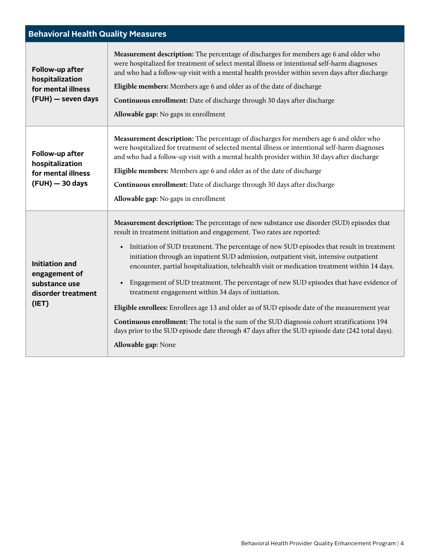| <b>Behavioral Health Quality Measures</b>                                              |                                                                                                                                                                                                                                                                                                                                                                                                                                                                                                                                                                                                                                                                                                                                                                                                                                                                                                                                       |  |  |  |  |  |
|----------------------------------------------------------------------------------------|---------------------------------------------------------------------------------------------------------------------------------------------------------------------------------------------------------------------------------------------------------------------------------------------------------------------------------------------------------------------------------------------------------------------------------------------------------------------------------------------------------------------------------------------------------------------------------------------------------------------------------------------------------------------------------------------------------------------------------------------------------------------------------------------------------------------------------------------------------------------------------------------------------------------------------------|--|--|--|--|--|
| Follow-up after<br>hospitalization<br>for mental illness<br>(FUH) - seven days         | Measurement description: The percentage of discharges for members age 6 and older who<br>were hospitalized for treatment of select mental illness or intentional self-harm diagnoses<br>and who had a follow-up visit with a mental health provider within seven days after discharge<br>Eligible members: Members age 6 and older as of the date of discharge<br>Continuous enrollment: Date of discharge through 30 days after discharge<br>Allowable gap: No gaps in enrollment                                                                                                                                                                                                                                                                                                                                                                                                                                                    |  |  |  |  |  |
| Follow-up after<br>hospitalization<br>for mental illness<br>(FUH) - 30 days            | Measurement description: The percentage of discharges for members age 6 and older who<br>were hospitalized for treatment of selected mental illness or intentional self-harm diagnoses<br>and who had a follow-up visit with a mental health provider within 30 days after discharge<br>Eligible members: Members age 6 and older as of the date of discharge<br>Continuous enrollment: Date of discharge through 30 days after discharge<br>Allowable gap: No gaps in enrollment                                                                                                                                                                                                                                                                                                                                                                                                                                                     |  |  |  |  |  |
| <b>Initiation and</b><br>engagement of<br>substance use<br>disorder treatment<br>(IET) | Measurement description: The percentage of new substance use disorder (SUD) episodes that<br>result in treatment initiation and engagement. Two rates are reported:<br>• Initiation of SUD treatment. The percentage of new SUD episodes that result in treatment<br>initiation through an inpatient SUD admission, outpatient visit, intensive outpatient<br>encounter, partial hospitalization, telehealth visit or medication treatment within 14 days.<br>• Engagement of SUD treatment. The percentage of new SUD episodes that have evidence of<br>treatment engagement within 34 days of initiation.<br>Eligible enrollees: Enrollees age 13 and older as of SUD episode date of the measurement year<br>Continuous enrollment: The total is the sum of the SUD diagnosis cohort stratifications 194<br>days prior to the SUD episode date through 47 days after the SUD episode date (242 total days).<br>Allowable gap: None |  |  |  |  |  |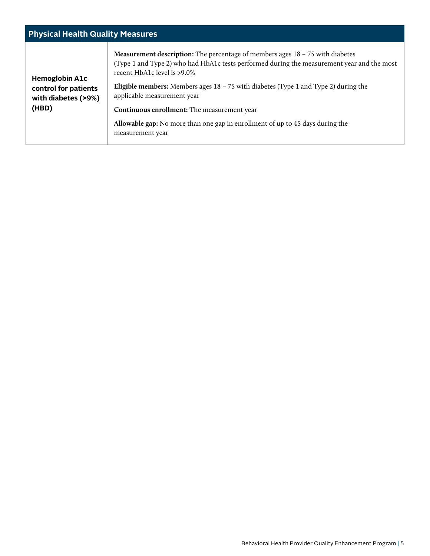| <b>Physical Health Quality Measures</b>                                       |                                                                                                                                                                                                                                                                                                                                                                                                                                                                                                             |  |  |  |  |  |
|-------------------------------------------------------------------------------|-------------------------------------------------------------------------------------------------------------------------------------------------------------------------------------------------------------------------------------------------------------------------------------------------------------------------------------------------------------------------------------------------------------------------------------------------------------------------------------------------------------|--|--|--|--|--|
| <b>Hemoglobin A1c</b><br>control for patients<br>with diabetes (>9%)<br>(HBD) | <b>Measurement description:</b> The percentage of members ages 18 – 75 with diabetes<br>(Type 1 and Type 2) who had HbA1c tests performed during the measurement year and the most<br>recent HbA1c level is >9.0%<br><b>Eligible members:</b> Members ages $18 - 75$ with diabetes (Type 1 and Type 2) during the<br>applicable measurement year<br>Continuous enrollment: The measurement year<br><b>Allowable gap:</b> No more than one gap in enrollment of up to 45 days during the<br>measurement year |  |  |  |  |  |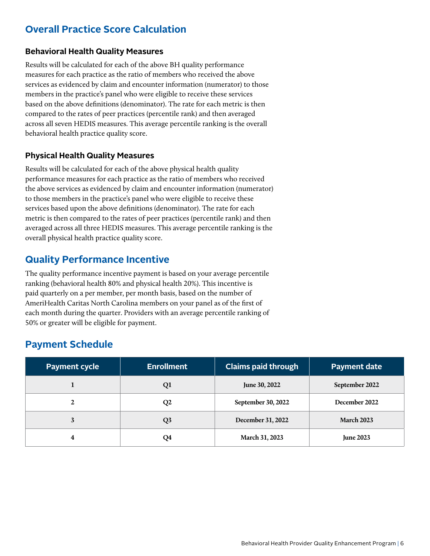## <span id="page-7-0"></span>**Overall Practice Score Calculation**

#### **Behavioral Health Quality Measures**

Results will be calculated for each of the above BH quality performance measures for each practice as the ratio of members who received the above services as evidenced by claim and encounter information (numerator) to those members in the practice's panel who were eligible to receive these services based on the above definitions (denominator). The rate for each metric is then compared to the rates of peer practices (percentile rank) and then averaged across all seven HEDIS measures. This average percentile ranking is the overall behavioral health practice quality score.

#### **Physical Health Quality Measures**

Results will be calculated for each of the above physical health quality performance measures for each practice as the ratio of members who received the above services as evidenced by claim and encounter information (numerator) to those members in the practice's panel who were eligible to receive these services based upon the above definitions (denominator). The rate for each metric is then compared to the rates of peer practices (percentile rank) and then averaged across all three HEDIS measures. This average percentile ranking is the overall physical health practice quality score.

### **Quality Performance Incentive**

The quality performance incentive payment is based on your average percentile ranking (behavioral health 80% and physical health 20%). This incentive is paid quarterly on a per member, per month basis, based on the number of AmeriHealth Caritas North Carolina members on your panel as of the first of each month during the quarter. Providers with an average percentile ranking of 50% or greater will be eligible for payment.

## **Payment Schedule**

| <b>Payment cycle</b> | <b>Enrollment</b> | <b>Claims paid through</b> | <b>Payment date</b> |
|----------------------|-------------------|----------------------------|---------------------|
|                      | Q1                | June 30, 2022              | September 2022      |
|                      | Q <sub>2</sub>    | September 30, 2022         | December 2022       |
| 3                    | Q <sub>3</sub>    | December 31, 2022          | <b>March 2023</b>   |
| 4                    | Q4                | March 31, 2023             | <b>June 2023</b>    |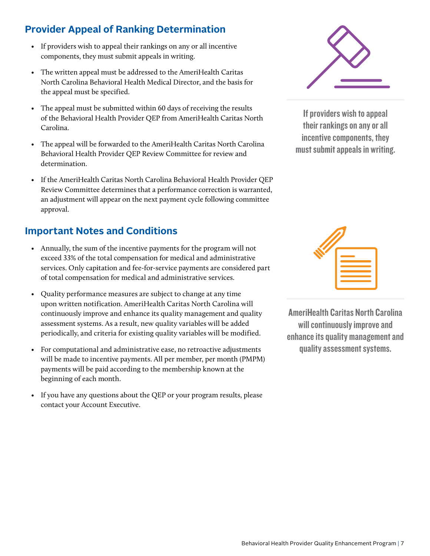## <span id="page-8-0"></span>**Provider Appeal of Ranking Determination**

- If providers wish to appeal their rankings on any or all incentive components, they must submit appeals in writing.
- The written appeal must be addressed to the AmeriHealth Caritas North Carolina Behavioral Health Medical Director, and the basis for the appeal must be specified.
- The appeal must be submitted within 60 days of receiving the results of the Behavioral Health Provider QEP from AmeriHealth Caritas North Carolina.
- The appeal will be forwarded to the AmeriHealth Caritas North Carolina Behavioral Health Provider QEP Review Committee for review and determination.
- If the AmeriHealth Caritas North Carolina Behavioral Health Provider QEP Review Committee determines that a performance correction is warranted, an adjustment will appear on the next payment cycle following committee approval.

## **Important Notes and Conditions**

- Annually, the sum of the incentive payments for the program will not exceed 33% of the total compensation for medical and administrative services. Only capitation and fee-for-service payments are considered part of total compensation for medical and administrative services.
- Quality performance measures are subject to change at any time upon written notification. AmeriHealth Caritas North Carolina will continuously improve and enhance its quality management and quality assessment systems. As a result, new quality variables will be added periodically, and criteria for existing quality variables will be modified.
- For computational and administrative ease, no retroactive adjustments will be made to incentive payments. All per member, per month (PMPM) payments will be paid according to the membership known at the beginning of each month.
- If you have any questions about the QEP or your program results, please contact your Account Executive.



If providers wish to appeal their rankings on any or all incentive components, they must submit appeals in writing.



AmeriHealth Caritas North Carolina will continuously improve and enhance its quality management and quality assessment systems.